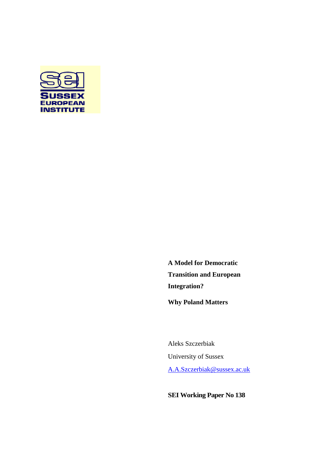

**A Model for Democratic Transition and European Integration?**

**Why Poland Matters**

Aleks Szczerbiak University of Sussex [A.A.Szczerbiak@sussex.ac.uk](mailto:A.A.Szczerbiak@sussex.ac.uk)

**SEI Working Paper No 138**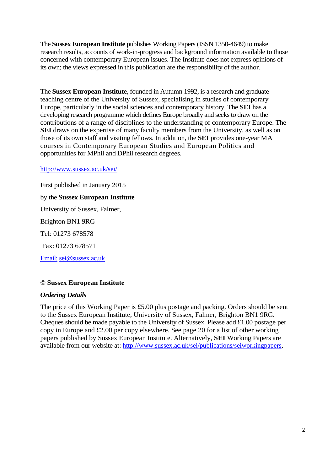The **Sussex European Institute** publishes Working Papers (ISSN 1350-4649) to make research results, accounts of work-in-progress and background information available to those concerned with contemporary European issues. The Institute does not express opinions of its own; the views expressed in this publication are the responsibility of the author.

The **Sussex European Institute**, founded in Autumn 1992, is a research and graduate teaching centre of the University of Sussex, specialising in studies of contemporary Europe, particularly in the social sciences and contemporary history. The **SEI** has a developing research programme which defines Europe broadly and seeks to draw on the contributions of a range of disciplines to the understanding of contemporary Europe. The **SEI** draws on the expertise of many faculty members from the University, as well as on those of its own staff and visiting fellows. In addition, the **SEI** provides one-year MA courses in Contemporary European Studies and European Politics and opportunities for MPhil and DPhil research degrees.

<http://www.sussex.ac.uk/sei/>

First published in January 2015 by the **Sussex European Institute** University of Sussex, Falmer, Brighton BN1 9RG Tel: 01273 678578 Fax: 01273 678571 [Email:](mailto:sei@sussex.ac.uk) sei@sussex.ac.uk

## **© Sussex European Institute**

### *Ordering Details*

The price of this Working Paper is £5.00 plus postage and packing. Orders should be sent to the Sussex European Institute, University of Sussex, Falmer, Brighton BN1 9RG. Cheques should be made payable to the University of Sussex. Please add £1.00 postage per copy in Europe and £2.00 per copy elsewhere. See page 20 for a list of other working papers published by Sussex European Institute. Alternatively, **SEI** Working Papers are available from our website at: [http://www.sussex.ac.uk/sei/publications/seiworkingpapers.](http://www.sussex.ac.uk/sei/publications/seiworkingpapers)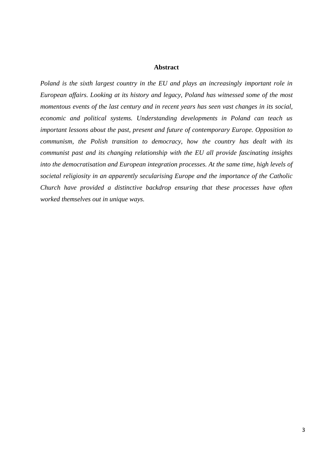#### **Abstract**

*Poland is the sixth largest country in the EU and plays an increasingly important role in European affairs. Looking at its history and legacy, Poland has witnessed some of the most momentous events of the last century and in recent years has seen vast changes in its social, economic and political systems. Understanding developments in Poland can teach us important lessons about the past, present and future of contemporary Europe. Opposition to communism, the Polish transition to democracy, how the country has dealt with its communist past and its changing relationship with the EU all provide fascinating insights into the democratisation and European integration processes. At the same time, high levels of societal religiosity in an apparently secularising Europe and the importance of the Catholic Church have provided a distinctive backdrop ensuring that these processes have often worked themselves out in unique ways.*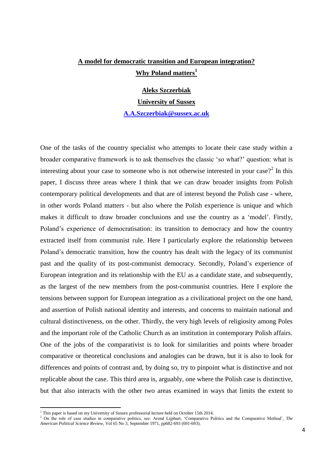# **A model for democratic transition and European integration? Why Poland matters<sup>1</sup>**

**Aleks Szczerbiak University of Sussex**

**[A.A.Szczerbiak@sussex.ac.uk](mailto:A.A.Szczerbiak@sussex.ac.uk)**

One of the tasks of the country specialist who attempts to locate their case study within a broader comparative framework is to ask themselves the classic 'so what?' question: what is interesting about your case to someone who is not otherwise interested in your case?<sup>2</sup> In this paper, I discuss three areas where I think that we can draw broader insights from Polish contemporary political developments and that are of interest beyond the Polish case - where, in other words Poland matters - but also where the Polish experience is unique and which makes it difficult to draw broader conclusions and use the country as a 'model'. Firstly, Poland's experience of democratisation: its transition to democracy and how the country extracted itself from communist rule. Here I particularly explore the relationship between Poland's democratic transition, how the country has dealt with the legacy of its communist past and the quality of its post-communist democracy. Secondly, Poland's experience of European integration and its relationship with the EU as a candidate state, and subsequently, as the largest of the new members from the post-communist countries. Here I explore the tensions between support for European integration as a civilizational project on the one hand, and assertion of Polish national identity and interests, and concerns to maintain national and cultural distinctiveness, on the other. Thirdly, the very high levels of religiosity among Poles and the important role of the Catholic Church as an institution in contemporary Polish affairs. One of the jobs of the comparativist is to look for similarities and points where broader comparative or theoretical conclusions and analogies can be drawn, but it is also to look for differences and points of contrast and, by doing so, try to pinpoint what is distinctive and not replicable about the case. This third area is, arguably, one where the Polish case is distinctive, but that also interacts with the other two areas examined in ways that limits the extent to

1

<sup>&</sup>lt;sup>1</sup> This paper is based on my University of Sussex professorial lecture held on October 15th 2014.

<sup>2</sup> On the role of case studies in comparative politics, see: Arend Lijphart, 'Comparative Politics and the Comparative Method', *The American Political Science Review*, Vol 65 No 3, September 1971, pp682-693 (691-693).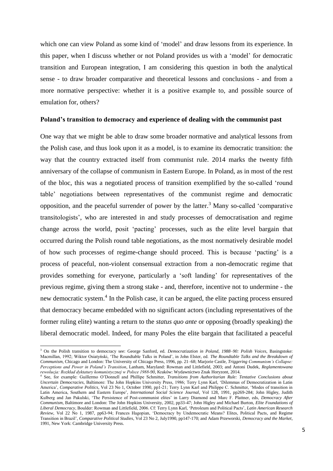which one can view Poland as some kind of 'model' and draw lessons from its experience. In this paper, when I discuss whether or not Poland provides us with a 'model' for democratic transition and European integration, I am considering this question in both the analytical sense - to draw broader comparative and theoretical lessons and conclusions - and from a more normative perspective: whether it is a positive example to, and possible source of emulation for, others?

#### **Poland's transition to democracy and experience of dealing with the communist past**

One way that we might be able to draw some broader normative and analytical lessons from the Polish case, and thus look upon it as a model, is to examine its democratic transition: the way that the country extracted itself from communist rule. 2014 marks the twenty fifth anniversary of the collapse of communism in Eastern Europe. In Poland, as in most of the rest of the bloc, this was a negotiated process of transition exemplified by the so-called 'round table' negotiations between representatives of the communist regime and democratic opposition, and the peaceful surrender of power by the latter.<sup>3</sup> Many so-called 'comparative transitologists', who are interested in and study processes of democratisation and regime change across the world, posit 'pacting' processes, such as the elite level bargain that occurred during the Polish round table negotiations, as the most normatively desirable model of how such processes of regime-change should proceed. This is because 'pacting' is a process of peaceful, non-violent consensual extraction from a non-democratic regime that provides something for everyone, particularly a 'soft landing' for representatives of the previous regime, giving them a strong stake - and, therefore, incentive not to undermine - the new democratic system.<sup>4</sup> In the Polish case, it can be argued, the elite pacting process ensured that democracy became embedded with no significant actors (including representatives of the former ruling elite) wanting a return to the *status quo ante* or opposing (broadly speaking) the liberal democratic model. Indeed, for many Poles the elite bargain that facilitated a peaceful

<sup>3</sup> On the Polish transition to democracy see: George Sanford, ed. *Democratization in Poland, 1988–90: Polish Voices*, Basingstoke: Macmillan, 1992; Wiktor Osiatyński, 'The Roundtable Talks in Poland', in John Elster, ed. *The Roundtable Talks and the Breakdown of Communism*, Chicago and London: The University of Chicago Press, 1996, pp. 21–68; Marjorie Castle, *Triggering Communism's Collapse: Perceptions and Power in Poland's Transition*, Lanham, Maryland: Rowman and Littlefield, 2003; and Antoni Dudek, *Reglamentowana rewolucja: Rozkład dyktatury komunistycznej w Polsce 1988-90*, Kraków: Wydawnictwo Znak Horyzont, 2014. 4

See, for example: Guillermo O'Donnell and Phillipe Schmitter, *Transitions from Authoritarian Rule: Tentative Conclusions about Uncertain Democracies*, Baltimore: The John Hopkins University Press, 1986; Terry Lynn Karl, 'Dilemmas of Democratization in Latin America', *Comparative Politics*, Vol 23 No 1, October 1990, pp1-21; Terry Lynn Karl and Philippe C. Schmitter, 'Modes of transition in Latin America, Southern and Eastern Europe', *International Social Science Journal*, Vol 128, 1991, pp269-284; John Higley, Judith Kulberg and Jan Pakulski, 'The Persistence of Post-communist elites' in Larry Diamond and Marc F. Plattner, eds, *Democracy After Communism*, Baltimore and London: The John Hopkins University, 2002, pp33-47; John Higley and Michael Burton, *Elite Foundations of Liberal Democracy*, Boulder: Rowman and Littlefield, 2006. Cf: Terry Lynn Karl, 'Petroleum and Political Pacts', *Latin American Research Review*, Vol 22 No 1, 1987, pp63-94; Frances Hagopian, 'Democracy by Undemocratic Means? Elites, Political Pacts, and Regime Transition in Brazil', *Comparative Political Studies*, Vol 23 No 2, July1990, pp147-170; and Adam Przeworski, *Democracy and the Market*, 1991, New York: Cambridge University Press.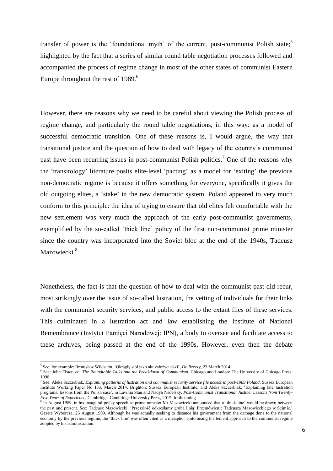transfer of power is the 'foundational myth' of the current, post-communist Polish state;<sup>5</sup> highlighted by the fact that a series of similar round table negotiation processes followed and accompanied the process of regime change in most of the other states of communist Eastern Europe throughout the rest of 1989.<sup>6</sup>

However, there are reasons why we need to be careful about viewing the Polish process of regime change, and particularly the round table negotiations, in this way: as a model of successful democratic transition. One of these reasons is, I would argue, the way that transitional justice and the question of how to deal with legacy of the country's communist past have been recurring issues in post-communist Polish politics.<sup>7</sup> One of the reasons why the 'transitology' literature posits elite-level 'pacting' as a model for 'exiting' the previous non-democratic regime is because it offers something for everyone, specifically it gives the old outgoing elites, a 'stake' in the new democratic system. Poland appeared to very much conform to this principle: the idea of trying to ensure that old elites felt comfortable with the new settlement was very much the approach of the early post-communist governments, exemplified by the so-called 'thick line' policy of the first non-communist prime minister since the country was incorporated into the Soviet bloc at the end of the 1940s, Tadeusz Mazowiecki.<sup>8</sup>

Nonetheless, the fact is that the question of how to deal with the communist past did recur, most strikingly over the issue of so-called lustration, the vetting of individuals for their links with the communist security services, and public access to the extant files of these services. This culminated in a lustration act and law establishing the Institute of National Remembrance (Instytut Pamięci Narodowej: IPN), a body to oversee and facilitate access to these archives, being passed at the end of the 1990s. However, even then the debate

 $\overline{a}$ 

<sup>5</sup> See, for example: Bronisław Wildstein, 'Okrągly stół jako akt założycielski', *Do Rzeczy*, 23 March 2014.

<sup>6</sup> See: John Elster, ed. *The Roundtable Talks and the Breakdown of Communism*, Chicago and London: The University of Chicago Press, 1996

<sup>7</sup> See: Aleks Szczerbiak, *Explaining patterns of lustration and communist security service file access in post-1989 Poland*, Sussex European Institute Working Paper No 133, March 2014, Brighton: Sussex European Institute; and Aleks Szczerbiak, 'Explaining late lustration programs: lessons from the Polish case', in Lavinia Stan and Nadya Nedelsky, *Post-Communist Transitional Justice: Lessons from Twenty-Five Years of Experience*, Cambridge: Cambridge University Press, 2015, forthcoming

<sup>&</sup>lt;sup>8</sup> In August 1989, in his inaugural policy speech as prime minister Mr Mazowiecki announced that a 'thick line' would be drawn between the past and present. See: Tadeusz Mazowiecki, 'Przeszłość odkreślamy grubą linią: Przemówienie Tadeusza Mazowieckiego w Sejmie,' Gazeta Wyborcza, 25 August 1989. Although he was actually seeking to distance his government from the damage done to the national economy by the previous regime, the 'thick line' was often cited as a metaphor epitomising the lenient approach to the communist regime adopted by his administration.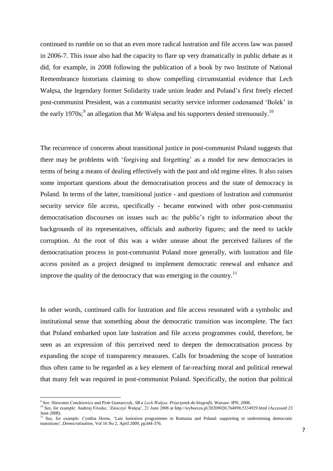continued to rumble on so that an even more radical lustration and file access law was passed in 2006-7. This issue also had the capacity to flare up very dramatically in public debate as it did, for example, in 2008 following the publication of a book by two Institute of National Remembrance historians claiming to show compelling circumstantial evidence that Lech Wałęsa, the legendary former Solidarity trade union leader and Poland's first freely elected post-communist President, was a communist security service informer codenamed 'Bolek' in the early 1970s;<sup>9</sup> an allegation that Mr Wałęsa and his supporters denied strenuously.<sup>10</sup>

The recurrence of concerns about transitional justice in post-communist Poland suggests that there may be problems with 'forgiving and forgetting' as a model for new democracies in terms of being a means of dealing effectively with the past and old regime elites. It also raises some important questions about the democratisation process and the state of democracy in Poland. In terms of the latter, transitional justice - and questions of lustration and communist security service file access, specifically - became entwined with other post-communist democratisation discourses on issues such as: the public's right to information about the backgrounds of its representatives, officials and authority figures; and the need to tackle corruption. At the root of this was a wider unease about the perceived failures of the democratisation process in post-communist Poland more generally, with lustration and file access posited as a project designed to implement democratic renewal and enhance and improve the quality of the democracy that was emerging in the country.<sup>11</sup>

In other words, continued calls for lustration and file access resonated with a symbolic and institutional sense that something about the democratic transition was incomplete. The fact that Poland embarked upon late lustration and file access programmes could, therefore, be seen as an expression of this perceived need to deepen the democratisation process by expanding the scope of transparency measures. Calls for broadening the scope of lustration thus often came to be regarded as a key element of far-reaching moral and political renewal that many felt was required in post-communist Poland. Specifically, the notion that political

 9 See: Sławomir Cenckiewicz and Piotr Gontarczyk, *SB a Lech Wałęsa. Przyczynek do biografii*, Warsaw: IPN, 2008.

<sup>10</sup> See, for example: Andrzej Friszke, 'Znisczyć Wałęsę', 21 June 2008 at http://wyborcza.pl/20209020,764898,5334929.html (Accessed 23 June 2008).

<sup>11</sup> See, for example: Cynthia Horne, 'Late lustration programmes in Romania and Poland: supporting or undermining democratic transitions', *Democratization*, Vol 16 No 2, April 2009, pp344-376.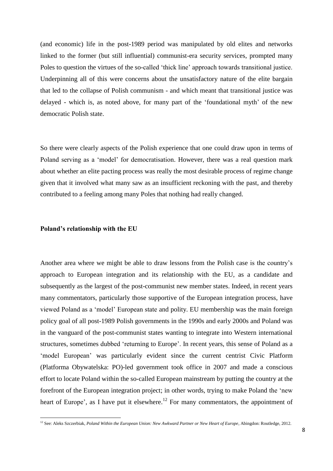(and economic) life in the post-1989 period was manipulated by old elites and networks linked to the former (but still influential) communist-era security services, prompted many Poles to question the virtues of the so-called 'thick line' approach towards transitional justice. Underpinning all of this were concerns about the unsatisfactory nature of the elite bargain that led to the collapse of Polish communism - and which meant that transitional justice was delayed - which is, as noted above, for many part of the 'foundational myth' of the new democratic Polish state.

So there were clearly aspects of the Polish experience that one could draw upon in terms of Poland serving as a 'model' for democratisation. However, there was a real question mark about whether an elite pacting process was really the most desirable process of regime change given that it involved what many saw as an insufficient reckoning with the past, and thereby contributed to a feeling among many Poles that nothing had really changed.

#### **Poland's relationship with the EU**

1

Another area where we might be able to draw lessons from the Polish case is the country's approach to European integration and its relationship with the EU, as a candidate and subsequently as the largest of the post-communist new member states. Indeed, in recent years many commentators, particularly those supportive of the European integration process, have viewed Poland as a 'model' European state and polity. EU membership was the main foreign policy goal of all post-1989 Polish governments in the 1990s and early 2000s and Poland was in the vanguard of the post-communist states wanting to integrate into Western international structures, sometimes dubbed 'returning to Europe'. In recent years, this sense of Poland as a 'model European' was particularly evident since the current centrist Civic Platform (Platforma Obywatelska: PO)-led government took office in 2007 and made a conscious effort to locate Poland within the so-called European mainstream by putting the country at the forefront of the European integration project; in other words, trying to make Poland the 'new heart of Europe', as I have put it elsewhere.<sup>12</sup> For many commentators, the appointment of

<sup>&</sup>lt;sup>12</sup> See: Aleks Szczerbiak, Poland Within the European Union: New Awkward Partner or New Heart of Europe, Abingdon: Routledge, 2012.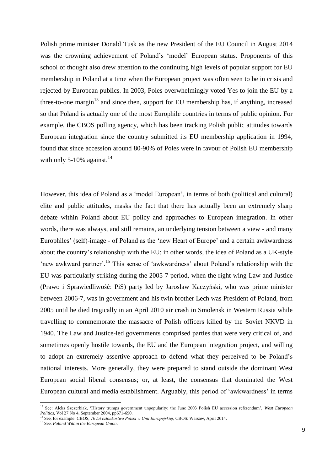Polish prime minister Donald Tusk as the new President of the EU Council in August 2014 was the crowning achievement of Poland's 'model' European status. Proponents of this school of thought also drew attention to the continuing high levels of popular support for EU membership in Poland at a time when the European project was often seen to be in crisis and rejected by European publics. In 2003, Poles overwhelmingly voted Yes to join the EU by a three-to-one margin $^{13}$  and since then, support for EU membership has, if anything, increased so that Poland is actually one of the most Europhile countries in terms of public opinion. For example, the CBOS polling agency, which has been tracking Polish public attitudes towards European integration since the country submitted its EU membership application in 1994, found that since accession around 80-90% of Poles were in favour of Polish EU membership with only 5-10% against. $^{14}$ 

However, this idea of Poland as a 'model European', in terms of both (political and cultural) elite and public attitudes, masks the fact that there has actually been an extremely sharp debate within Poland about EU policy and approaches to European integration. In other words, there was always, and still remains, an underlying tension between a view - and many Europhiles' (self)-image - of Poland as the 'new Heart of Europe' and a certain awkwardness about the country's relationship with the EU; in other words, the idea of Poland as a UK-style 'new awkward partner'.<sup>15</sup> This sense of 'awkwardness' about Poland's relationship with the EU was particularly striking during the 2005-7 period, when the right-wing Law and Justice (Prawo i Sprawiedliwość: PiS) party led by Jarosław Kaczyński, who was prime minister between 2006-7, was in government and his twin brother Lech was President of Poland, from 2005 until he died tragically in an April 2010 air crash in Smolensk in Western Russia while travelling to commemorate the massacre of Polish officers killed by the Soviet NKVD in 1940. The Law and Justice-led governments comprised parties that were very critical of, and sometimes openly hostile towards, the EU and the European integration project, and willing to adopt an extremely assertive approach to defend what they perceived to be Poland's national interests. More generally, they were prepared to stand outside the dominant West European social liberal consensus; or, at least, the consensus that dominated the West European cultural and media establishment. Arguably, this period of 'awkwardness' in terms

<sup>&</sup>lt;sup>13</sup> See: Aleks Szczerbiak, 'History trumps government unpopularity: the June 2003 Polish EU accession referendum', *West European Politics*, Vol 27 No 4, September 2004, pp671-690.

<sup>14</sup> See, for example: CBOS, *10 lat członkostwa Polski w Unii Europejskiej,* CBOS: Warsaw, April 2014.

<sup>15</sup> See: *Poland Within the European Union*.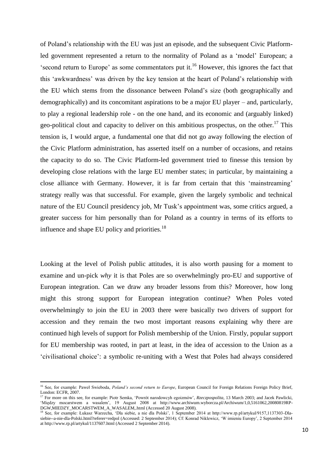of Poland's relationship with the EU was just an episode, and the subsequent Civic Platformled government represented a return to the normality of Poland as a 'model' European; a 'second return to Europe' as some commentators put it. <sup>16</sup> However, this ignores the fact that this 'awkwardness' was driven by the key tension at the heart of Poland's relationship with the EU which stems from the dissonance between Poland's size (both geographically and demographically) and its concomitant aspirations to be a major EU player – and, particularly, to play a regional leadership role - on the one hand, and its economic and (arguably linked) geo-political clout and capacity to deliver on this ambitious prospectus, on the other.<sup>17</sup> This tension is, I would argue, a fundamental one that did not go away following the election of the Civic Platform administration, has asserted itself on a number of occasions, and retains the capacity to do so. The Civic Platform-led government tried to finesse this tension by developing close relations with the large EU member states; in particular, by maintaining a close alliance with Germany. However, it is far from certain that this 'mainstreaming' strategy really was that successful. For example, given the largely symbolic and technical nature of the EU Council presidency job, Mr Tusk's appointment was, some critics argued, a greater success for him personally than for Poland as a country in terms of its efforts to influence and shape EU policy and priorities.<sup>18</sup>

Looking at the level of Polish public attitudes, it is also worth pausing for a moment to examine and un-pick *why* it is that Poles are so overwhelmingly pro-EU and supportive of European integration. Can we draw any broader lessons from this? Moreover, how long might this strong support for European integration continue? When Poles voted overwhelmingly to join the EU in 2003 there were basically two drivers of support for accession and they remain the two most important reasons explaining why there are continued high levels of support for Polish membership of the Union. Firstly, popular support for EU membership was rooted, in part at least, in the idea of accession to the Union as a 'civilisational choice': a symbolic re-uniting with a West that Poles had always considered

<sup>&</sup>lt;sup>16</sup> See, for example: Paweł Swieboda, *Poland's second return to Europe*, European Council for Foreign Relations Foreign Policy Brief, London: ECFR, 2007.

<sup>&</sup>lt;sup>17</sup> For more on this see, for example: Piotr Semka, 'Powrót narodowcyh egoizmów', *Rzeczpospolita*, 13 March 2003; and Jacek Pawlicki, 'Między mocarstwem a wasalem', 19 August 2008 at http://www.archiwum.wyborcza.pl/Archiwum/1,0,5161062,20080819RP-DGW,MIEDZY\_MOCARSTWEM\_A\_WASALEM,.html (Accessed 20 August 2008).

<sup>18</sup> See, for example: Łukasz Warzecha, 'Dla siebie, a nie dla Polski', 1 September 2014 at http://www.rp.pl/artykul/9157,1137303-Dlasiebie--a-nie-dla-Polski.html?referer=redpol (Accessed: 2 September 2014); Cf: Konrad Niklewicz, 'W imieniu Europy', 2 September 2014 at http://www.rp.pl/artykul/1137607.html (Accessed 2 September 2014).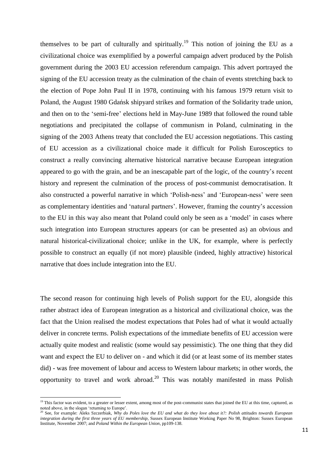themselves to be part of culturally and spiritually.<sup>19</sup> This notion of joining the EU as a civilizational choice was exemplified by a powerful campaign advert produced by the Polish government during the 2003 EU accession referendum campaign. This advert portrayed the signing of the EU accession treaty as the culmination of the chain of events stretching back to the election of Pope John Paul II in 1978, continuing with his famous 1979 return visit to Poland, the August 1980 Gdańsk shipyard strikes and formation of the Solidarity trade union, and then on to the 'semi-free' elections held in May-June 1989 that followed the round table negotiations and precipitated the collapse of communism in Poland, culminating in the signing of the 2003 Athens treaty that concluded the EU accession negotiations. This casting of EU accession as a civilizational choice made it difficult for Polish Eurosceptics to construct a really convincing alternative historical narrative because European integration appeared to go with the grain, and be an inescapable part of the logic, of the country's recent history and represent the culmination of the process of post-communist democratisation. It also constructed a powerful narrative in which 'Polish-ness' and 'European-ness' were seen as complementary identities and 'natural partners'. However, framing the country's accession to the EU in this way also meant that Poland could only be seen as a 'model' in cases where such integration into European structures appears (or can be presented as) an obvious and natural historical-civilizational choice; unlike in the UK, for example, where is perfectly possible to construct an equally (if not more) plausible (indeed, highly attractive) historical narrative that does include integration into the EU.

The second reason for continuing high levels of Polish support for the EU, alongside this rather abstract idea of European integration as a historical and civilizational choice, was the fact that the Union realised the modest expectations that Poles had of what it would actually deliver in concrete terms. Polish expectations of the immediate benefits of EU accession were actually quite modest and realistic (some would say pessimistic). The one thing that they did want and expect the EU to deliver on - and which it did (or at least some of its member states did) - was free movement of labour and access to Western labour markets; in other words, the opportunity to travel and work abroad.<sup>20</sup> This was notably manifested in mass Polish

1

<sup>&</sup>lt;sup>19</sup> This factor was evident, to a greater or lesser extent, among most of the post-communist states that joined the EU at this time, captured, as noted above, in the slogan 'returning to Europe'.

<sup>&</sup>lt;sup>20</sup> See, for example: Aleks Szczerbiak, *Why do Poles love the EU and what do they love about it?: Polish attitudes towards European integration during the first three years of EU membership*, Sussex European Institute Working Paper No 98, Brighton: Sussex European Institute, November 2007; and *Poland Within the European Union*, pp109-138.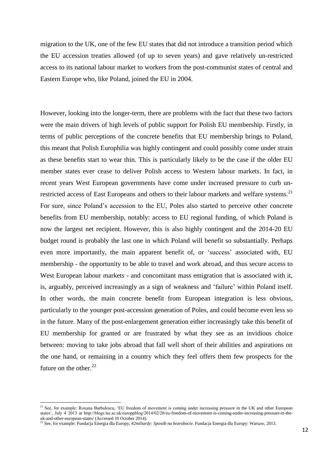migration to the UK, one of the few EU states that did not introduce a transition period which the EU accession treaties allowed (of up to seven years) and gave relatively un-restricted access to its national labour market to workers from the post-communist states of central and Eastern Europe who, like Poland, joined the EU in 2004.

However, looking into the longer-term, there are problems with the fact that these two factors were the main drivers of high levels of public support for Polish EU membership. Firstly, in terms of public perceptions of the concrete benefits that EU membership brings to Poland, this meant that Polish Europhilia was highly contingent and could possibly come under strain as these benefits start to wear thin. This is particularly likely to be the case if the older EU member states ever cease to deliver Polish access to Western labour markets. In fact, in recent years West European governments have come under increased pressure to curb unrestricted access of East Europeans and others to their labour markets and welfare systems.<sup>21</sup> For sure, since Poland's accession to the EU, Poles also started to perceive other concrete benefits from EU membership, notably: access to EU regional funding, of which Poland is now the largest net recipient. However, this is also highly contingent and the 2014-20 EU budget round is probably the last one in which Poland will benefit so substantially. Perhaps even more importantly, the main apparent benefit of, or 'success' associated with, EU membership - the opportunity to be able to travel and work abroad, and thus secure access to West European labour markets - and concomitant mass emigration that is associated with it, is, arguably, perceived increasingly as a sign of weakness and 'failure' within Poland itself. In other words, the main concrete benefit from European integration is less obvious, particularly to the younger post-accession generation of Poles, and could become even less so in the future. Many of the post-enlargement generation either increasingly take this benefit of EU membership for granted or are frustrated by what they see as an invidious choice between: moving to take jobs abroad that fall well short of their abilities and aspirations on the one hand, or remaining in a country which they feel offers them few prospects for the future on the other. $^{22}$ 

<sup>&</sup>lt;sup>21</sup> See, for example: Roxana Barbulescu, 'EU freedom of movement is coming under increasing pressure in the UK and other European states', July 4 2013 at http://blogs.lse.ac.uk/europpblog/2014/02/20/eu-freedom-of-movement-is-coming-under-increasing-pressure-in-theuk-and-other-european-states/ (Accessed 10 October 2014).

<sup>22</sup> See, for example: Fundacja Energia dla Europy, *#2miliardy: Sposób na bezrobocie*. Fundacja Energia dla Europy: Warsaw, 2013.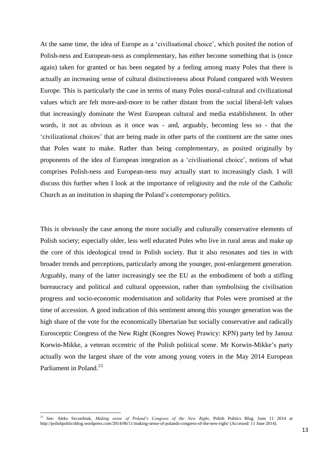At the same time, the idea of Europe as a 'civilisational choice', which posited the notion of Polish-ness and European-ness as complementary, has either become something that is (once again) taken for granted or has been negated by a feeling among many Poles that there is actually an increasing sense of cultural distinctiveness about Poland compared with Western Europe. This is particularly the case in terms of many Poles moral-cultural and civilizational values which are felt more-and-more to be rather distant from the social liberal-left values that increasingly dominate the West European cultural and media establishment. In other words, it not as obvious as it once was - and, arguably, becoming less so - that the 'civilizational choices' that are being made in other parts of the continent are the same ones that Poles want to make. Rather than being complementary, as posited originally by proponents of the idea of European integration as a 'civilisational choice', notions of what comprises Polish-ness and European-ness may actually start to increasingly clash. I will discuss this further when I look at the importance of religiosity and the role of the Catholic Church as an institution in shaping the Poland's contemporary politics.

This is obviously the case among the more socially and culturally conservative elements of Polish society; especially older, less well educated Poles who live in rural areas and make up the core of this ideological trend in Polish society. But it also resonates and ties in with broader trends and perceptions, particularly among the younger, post-enlargement generation. Arguably, many of the latter increasingly see the EU as the embodiment of both a stifling bureaucracy and political and cultural oppression, rather than symbolising the civilisation progress and socio-economic modernisation and solidarity that Poles were promised at the time of accession. A good indication of this sentiment among this younger generation was the high share of the vote for the economically libertarian but socially conservative and radically Eurosceptic Congress of the New Right (Kongres Nowej Prawicy: KPN) party led by Janusz Korwin-Mikke, a veteran eccentric of the Polish political scene. Mr Korwin-Mikke's party actually won the largest share of the vote among young voters in the May 2014 European Parliament in Poland.<sup>23</sup>

<sup>23</sup> See: Aleks Szczerbiak, *Making sense of Poland's Congress of the New Right*, Polish Politics Blog, June 11 2014 at http://polishpoliticsblog.wordpress.com/2014/06/11/making-sense-of-polands-congress-of-the-new-right/ (Accessed: 11 June 2014).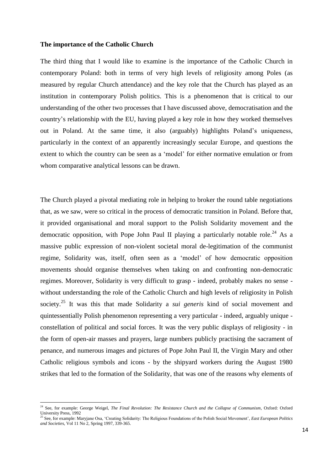#### **The importance of the Catholic Church**

The third thing that I would like to examine is the importance of the Catholic Church in contemporary Poland: both in terms of very high levels of religiosity among Poles (as measured by regular Church attendance) and the key role that the Church has played as an institution in contemporary Polish politics. This is a phenomenon that is critical to our understanding of the other two processes that I have discussed above, democratisation and the country's relationship with the EU, having played a key role in how they worked themselves out in Poland. At the same time, it also (arguably) highlights Poland's uniqueness, particularly in the context of an apparently increasingly secular Europe, and questions the extent to which the country can be seen as a 'model' for either normative emulation or from whom comparative analytical lessons can be drawn.

The Church played a pivotal mediating role in helping to broker the round table negotiations that, as we saw, were so critical in the process of democratic transition in Poland. Before that, it provided organisational and moral support to the Polish Solidarity movement and the democratic opposition, with Pope John Paul II playing a particularly notable role.<sup>24</sup> As a massive public expression of non-violent societal moral de-legitimation of the communist regime, Solidarity was, itself, often seen as a 'model' of how democratic opposition movements should organise themselves when taking on and confronting non-democratic regimes. Moreover, Solidarity is very difficult to grasp - indeed, probably makes no sense without understanding the role of the Catholic Church and high levels of religiosity in Polish society. <sup>25</sup> It was this that made Solidarity a *sui generis* kind of social movement and quintessentially Polish phenomenon representing a very particular - indeed, arguably unique constellation of political and social forces. It was the very public displays of religiosity - in the form of open-air masses and prayers, large numbers publicly practising the sacrament of penance, and numerous images and pictures of Pope John Paul II, the Virgin Mary and other Catholic religious symbols and icons - by the shipyard workers during the August 1980 strikes that led to the formation of the Solidarity, that was one of the reasons why elements of

<sup>&</sup>lt;sup>24</sup> See, for example: George Weigel, *The Final Revolution: The Resistance Church and the Collapse of Communism*, Oxford: Oxford University Press, 1992

<sup>25</sup> See, for example: Maryjane Osa, 'Creating Solidarity: The Religious Foundations of the Polish Social Movement', *East European Politics and Societies*, Vol 11 No 2, Spring 1997, 339-365.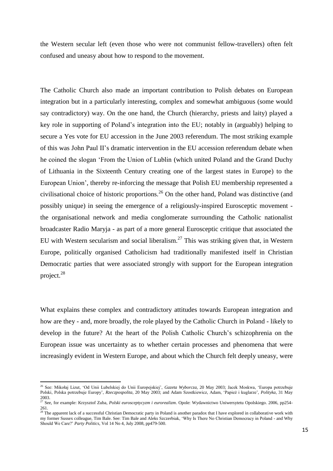the Western secular left (even those who were not communist fellow-travellers) often felt confused and uneasy about how to respond to the movement.

The Catholic Church also made an important contribution to Polish debates on European integration but in a particularly interesting, complex and somewhat ambiguous (some would say contradictory) way. On the one hand, the Church (hierarchy, priests and laity) played a key role in supporting of Poland's integration into the EU; notably in (arguably) helping to secure a Yes vote for EU accession in the June 2003 referendum. The most striking example of this was John Paul II's dramatic intervention in the EU accession referendum debate when he coined the slogan 'From the Union of Lublin (which united Poland and the Grand Duchy of Lithuania in the Sixteenth Century creating one of the largest states in Europe) to the European Union', thereby re-inforcing the message that Polish EU membership represented a civilisational choice of historic proportions.<sup>26</sup> On the other hand, Poland was distinctive (and possibly unique) in seeing the emergence of a religiously-inspired Eurosceptic movement the organisational network and media conglomerate surrounding the Catholic nationalist broadcaster Radio Maryja - as part of a more general Eurosceptic critique that associated the EU with Western secularism and social liberalism. $27$  This was striking given that, in Western Europe, politically organised Catholicism had traditionally manifested itself in Christian Democratic parties that were associated strongly with support for the European integration project. 28

What explains these complex and contradictory attitudes towards European integration and how are they - and, more broadly, the role played by the Catholic Church in Poland - likely to develop in the future? At the heart of the Polish Catholic Church's schizophrenia on the European issue was uncertainty as to whether certain processes and phenomena that were increasingly evident in Western Europe, and about which the Church felt deeply uneasy, were

<sup>26</sup> See: Mikołaj Lizut, 'Od Unii Lubelskiej do Unii Europejskiej', *Gazeta Wyborcza*, 20 May 2003; Jacek Moskwa, 'Europa potrzebuje Polski, Polska potrzebuje Europy', *Rzeczpospolita*, 20 May 2003; and Adam Szostkiewicz, Adam, 'Papież i kuglarze', *Polityka*, 31 May 2003.

<sup>27</sup> See, for example: Krzysztof Zuba, *Polski eurosceptycyzm i eurorealizm*. Opole: Wydawnictwo Uniwersytetu Opolskiego. 2006, pp254- 261.

 $^{28}$  The apparent lack of a successful Christian Democratic party in Poland is another paradox that I have explored in collaborative work with my former Sussex colleague, Tim Bale. See: Tim Bale and Aleks Szczerbiak, 'Why Is There No Christian Democracy in Poland - and Why Should We Care?' *Party Politics*, Vol 14 No 4, July 2008, pp479-500.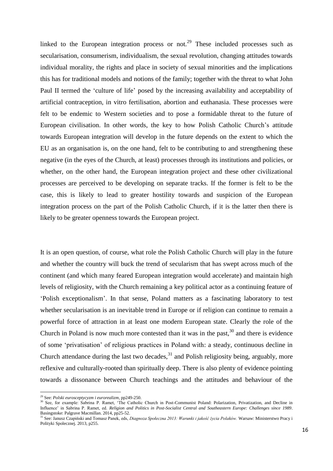linked to the European integration process or not.<sup>29</sup> These included processes such as secularisation, consumerism, individualism, the sexual revolution, changing attitudes towards individual morality, the rights and place in society of sexual minorities and the implications this has for traditional models and notions of the family; together with the threat to what John Paul II termed the 'culture of life' posed by the increasing availability and acceptability of artificial contraception, in vitro fertilisation, abortion and euthanasia. These processes were felt to be endemic to Western societies and to pose a formidable threat to the future of European civilisation. In other words, the key to how Polish Catholic Church's attitude towards European integration will develop in the future depends on the extent to which the EU as an organisation is, on the one hand, felt to be contributing to and strengthening these negative (in the eyes of the Church, at least) processes through its institutions and policies, or whether, on the other hand, the European integration project and these other civilizational processes are perceived to be developing on separate tracks. If the former is felt to be the case, this is likely to lead to greater hostility towards and suspicion of the European integration process on the part of the Polish Catholic Church, if it is the latter then there is likely to be greater openness towards the European project.

It is an open question, of course, what role the Polish Catholic Church will play in the future and whether the country will buck the trend of secularism that has swept across much of the continent (and which many feared European integration would accelerate) and maintain high levels of religiosity, with the Church remaining a key political actor as a continuing feature of 'Polish exceptionalism'. In that sense, Poland matters as a fascinating laboratory to test whether secularisation is an inevitable trend in Europe or if religion can continue to remain a powerful force of attraction in at least one modern European state. Clearly the role of the Church in Poland is now much more contested than it was in the past,  $30$  and there is evidence of some 'privatisation' of religious practices in Poland with: a steady, continuous decline in Church attendance during the last two decades,  $31$  and Polish religiosity being, arguably, more reflexive and culturally-rooted than spiritually deep. There is also plenty of evidence pointing towards a dissonance between Church teachings and the attitudes and behaviour of the

<sup>29</sup> See: *Polski eurosceptycyzm i eurorealizm*, pp249-250.

<sup>&</sup>lt;sup>30</sup> See, for example: Sabrina P. Ramet, 'The Catholic Church in Post-Communist Poland: Polarization, Privatization, and Decline in Influence' in Sabrina P. Ramet, ed. *Religion and Politics in Post-Socialist Central and Southeastern Europe: Challenges since 1989*. Basingstoke: Palgrave Macmillan. 2014, pp25-52.<br>
<sup>31</sup> Sec. 1.

<sup>31</sup> See: Janusz Czapiński and Tomasz Panek, eds, *Diagnoza Społeczna 2013: Warunki i jakość życia Polaków.* Warsaw: Ministerstwo Pracy i Polityki Spolecznej. 2013, p255.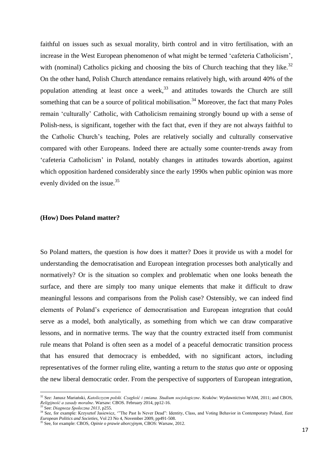faithful on issues such as sexual morality, birth control and in vitro fertilisation, with an increase in the West European phenomenon of what might be termed 'cafeteria Catholicism', with (nominal) Catholics picking and choosing the bits of Church teaching that they like.<sup>32</sup> On the other hand, Polish Church attendance remains relatively high, with around 40% of the population attending at least once a week,  $33$  and attitudes towards the Church are still something that can be a source of political mobilisation.<sup>34</sup> Moreover, the fact that many Poles remain 'culturally' Catholic, with Catholicism remaining strongly bound up with a sense of Polish-ness, is significant, together with the fact that, even if they are not always faithful to the Catholic Church's teaching, Poles are relatively socially and culturally conservative compared with other Europeans. Indeed there are actually some counter-trends away from 'cafeteria Catholicism' in Poland, notably changes in attitudes towards abortion, against which opposition hardened considerably since the early 1990s when public opinion was more evenly divided on the issue.<sup>35</sup>

### **(How) Does Poland matter?**

**.** 

So Poland matters, the question is *how* does it matter? Does it provide us with a model for understanding the democratisation and European integration processes both analytically and normatively? Or is the situation so complex and problematic when one looks beneath the surface, and there are simply too many unique elements that make it difficult to draw meaningful lessons and comparisons from the Polish case? Ostensibly, we can indeed find elements of Poland's experience of democratisation and European integration that could serve as a model, both analytically, as something from which we can draw comparative lessons, and in normative terms. The way that the country extracted itself from communist rule means that Poland is often seen as a model of a peaceful democratic transition process that has ensured that democracy is embedded, with no significant actors, including representatives of the former ruling elite, wanting a return to the *status quo ante* or opposing the new liberal democratic order. From the perspective of supporters of European integration,

<sup>32</sup> See: Janusz Mariański, *Katoliczyzm polski. Czagłość i zmiana. Studium socjologiczne*. Kraków: Wydawnictwo WAM, 2011; and CBOS, *Religijność a zasady moralne*. Warsaw: CBOS. February 2014, pp12-16. <sup>33</sup> See: *Diagnoza Społeczna 2013*, p255.

<sup>34</sup> See, for example: Krzysztof Jasiewicz, '"The Past Is Never Dead": Identity, Class, and Voting Behavior in Contemporary Poland, *East European Politics and Societies*, Vol 23 No 4, November 2009, pp491-508.

<sup>35</sup> See, for example: CBOS, *Opinie o prawie aborcyjnym*, CBOS: Warsaw, 2012.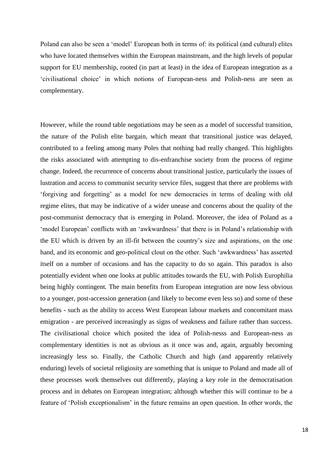Poland can also be seen a 'model' European both in terms of: its political (and cultural) elites who have located themselves within the European mainstream, and the high levels of popular support for EU membership, rooted (in part at least) in the idea of European integration as a 'civilisational choice' in which notions of European-ness and Polish-ness are seen as complementary.

However, while the round table negotiations may be seen as a model of successful transition, the nature of the Polish elite bargain, which meant that transitional justice was delayed, contributed to a feeling among many Poles that nothing had really changed. This highlights the risks associated with attempting to dis-enfranchise society from the process of regime change. Indeed, the recurrence of concerns about transitional justice, particularly the issues of lustration and access to communist security service files, suggest that there are problems with 'forgiving and forgetting' as a model for new democracies in terms of dealing with old regime elites, that may be indicative of a wider unease and concerns about the quality of the post-communist democracy that is emerging in Poland. Moreover, the idea of Poland as a 'model European' conflicts with an 'awkwardness' that there is in Poland's relationship with the EU which is driven by an ill-fit between the country's size and aspirations, on the one hand, and its economic and geo-political clout on the other. Such 'awkwardness' has asserted itself on a number of occasions and has the capacity to do so again. This paradox is also potentially evident when one looks at public attitudes towards the EU, with Polish Europhilia being highly contingent. The main benefits from European integration are now less obvious to a younger, post-accession generation (and likely to become even less so) and some of these benefits - such as the ability to access West European labour markets and concomitant mass emigration - are perceived increasingly as signs of weakness and failure rather than success. The civilisational choice which posited the idea of Polish-nesss and European-ness as complementary identities is not as obvious as it once was and, again, arguably becoming increasingly less so. Finally, the Catholic Church and high (and apparently relatively enduring) levels of societal religiosity are something that is unique to Poland and made all of these processes work themselves out differently, playing a key role in the democratisation process and in debates on European integration; although whether this will continue to be a feature of 'Polish exceptionalism' in the future remains an open question. In other words, the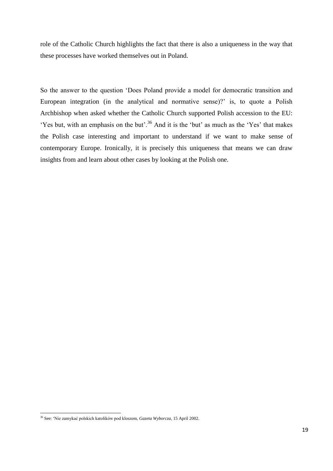role of the Catholic Church highlights the fact that there is also a uniqueness in the way that these processes have worked themselves out in Poland.

So the answer to the question 'Does Poland provide a model for democratic transition and European integration (in the analytical and normative sense)?' is, to quote a Polish Archbishop when asked whether the Catholic Church supported Polish accession to the EU: 'Yes but, with an emphasis on the but'.<sup>36</sup> And it is the 'but' as much as the 'Yes' that makes the Polish case interesting and important to understand if we want to make sense of contemporary Europe. Ironically, it is precisely this uniqueness that means we can draw insights from and learn about other cases by looking at the Polish one.

1

<sup>36</sup> See: 'Nie zamykać polskich katolików pod kloszem, *Gazeta Wyborcza*, 15 April 2002.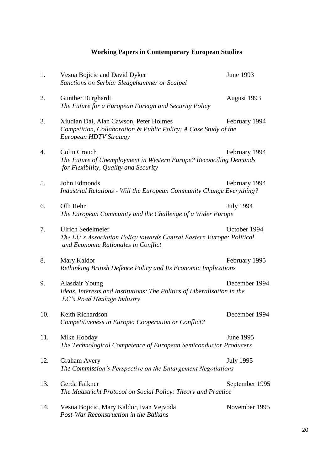# **Working Papers in Contemporary European Studies**

| 1.  | Vesna Bojicic and David Dyker<br>Sanctions on Serbia: Sledgehammer or Scalpel                                                              | June 1993        |
|-----|--------------------------------------------------------------------------------------------------------------------------------------------|------------------|
| 2.  | <b>Gunther Burghardt</b><br>The Future for a European Foreign and Security Policy                                                          | August 1993      |
| 3.  | Xiudian Dai, Alan Cawson, Peter Holmes<br>Competition, Collaboration & Public Policy: A Case Study of the<br><b>European HDTV Strategy</b> | February 1994    |
| 4.  | Colin Crouch<br>The Future of Unemployment in Western Europe? Reconciling Demands<br>for Flexibility, Quality and Security                 | February 1994    |
| 5.  | John Edmonds<br>Industrial Relations - Will the European Community Change Everything?                                                      | February 1994    |
| 6.  | Olli Rehn<br>The European Community and the Challenge of a Wider Europe                                                                    | <b>July 1994</b> |
| 7.  | <b>Ulrich Sedelmeier</b><br>The EU's Association Policy towards Central Eastern Europe: Political<br>and Economic Rationales in Conflict   | October 1994     |
| 8.  | Mary Kaldor<br>Rethinking British Defence Policy and Its Economic Implications                                                             | February 1995    |
| 9.  | Alasdair Young<br>Ideas, Interests and Institutions: The Politics of Liberalisation in the<br>EC's Road Haulage Industry                   | December 1994    |
| 10. | Keith Richardson<br>Competitiveness in Europe: Cooperation or Conflict?                                                                    | December 1994    |
| 11. | Mike Hobday<br>The Technological Competence of European Semiconductor Producers                                                            | June 1995        |
| 12. | <b>Graham Avery</b><br>The Commission's Perspective on the Enlargement Negotiations                                                        | <b>July 1995</b> |
| 13. | Gerda Falkner<br>The Maastricht Protocol on Social Policy: Theory and Practice                                                             | September 1995   |
| 14. | Vesna Bojicic, Mary Kaldor, Ivan Vejvoda<br>Post-War Reconstruction in the Balkans                                                         | November 1995    |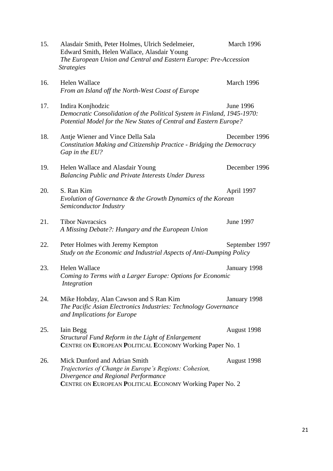| 15. | Alasdair Smith, Peter Holmes, Ulrich Sedelmeier,<br>Edward Smith, Helen Wallace, Alasdair Young<br>The European Union and Central and Eastern Europe: Pre-Accession<br><b>Strategies</b>  | March 1996     |
|-----|-------------------------------------------------------------------------------------------------------------------------------------------------------------------------------------------|----------------|
| 16. | Helen Wallace<br>From an Island off the North-West Coast of Europe                                                                                                                        | March 1996     |
| 17. | Indira Konjhodzic<br>Democratic Consolidation of the Political System in Finland, 1945-1970:<br>Potential Model for the New States of Central and Eastern Europe?                         | June 1996      |
| 18. | Antje Wiener and Vince Della Sala<br>Constitution Making and Citizenship Practice - Bridging the Democracy<br>Gap in the EU?                                                              | December 1996  |
| 19. | Helen Wallace and Alasdair Young<br><b>Balancing Public and Private Interests Under Duress</b>                                                                                            | December 1996  |
| 20. | S. Ran Kim<br>Evolution of Governance & the Growth Dynamics of the Korean<br>Semiconductor Industry                                                                                       | April 1997     |
| 21. | <b>Tibor Navracsics</b><br>A Missing Debate?: Hungary and the European Union                                                                                                              | June 1997      |
| 22. | Peter Holmes with Jeremy Kempton<br>Study on the Economic and Industrial Aspects of Anti-Dumping Policy                                                                                   | September 1997 |
| 23. | <b>Helen Wallace</b><br>Coming to Terms with a Larger Europe: Options for Economic<br>Integration                                                                                         | January 1998   |
| 24. | Mike Hobday, Alan Cawson and S Ran Kim<br>The Pacific Asian Electronics Industries: Technology Governance<br>and Implications for Europe                                                  | January 1998   |
| 25. | Iain Begg<br>Structural Fund Reform in the Light of Enlargement<br>CENTRE ON EUROPEAN POLITICAL ECONOMY Working Paper No. 1                                                               | August 1998    |
| 26. | Mick Dunford and Adrian Smith<br>Trajectories of Change in Europe's Regions: Cohesion,<br>Divergence and Regional Performance<br>CENTRE ON EUROPEAN POLITICAL ECONOMY Working Paper No. 2 | August 1998    |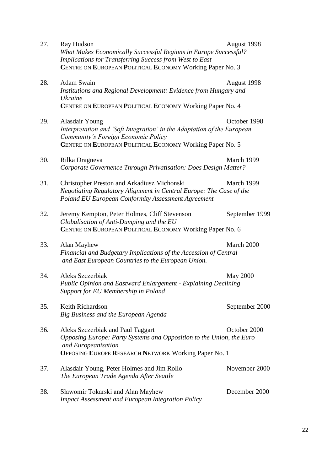27. Ray Hudson August 1998 *What Makes Economically Successful Regions in Europe Successful? Implications for Transferring Success from West to East* **C**ENTRE ON **E**UROPEAN **P**OLITICAL **E**CONOMY Working Paper No. 3 28. Adam Swain August 1998 *Institutions and Regional Development: Evidence from Hungary and Ukraine* **C**ENTRE ON **E**UROPEAN **P**OLITICAL **E**CONOMY Working Paper No. 4 29. Alasdair Young Coroler 1998 *Interpretation and 'Soft Integration' in the Adaptation of the European Community's Foreign Economic Policy* **C**ENTRE ON **E**UROPEAN **P**OLITICAL **E**CONOMY Working Paper No. 5 30. Rilka Dragneva March 1999 *Corporate Governence Through Privatisation: Does Design Matter?* 31. Christopher Preston and Arkadiusz Michonski March 1999 *Negotiating Regulatory Alignment in Central Europe: The Case of the Poland EU European Conformity Assessment Agreement* 32. Jeremy Kempton, Peter Holmes, Cliff Stevenson September 1999 *Globalisation of Anti-Dumping and the EU* **C**ENTRE ON **E**UROPEAN **P**OLITICAL **E**CONOMY Working Paper No. 6 33. Alan Mayhew March 2000 *Financial and Budgetary Implications of the Accession of Central and East European Countries to the European Union.* 34. Aleks Szczerbiak May 2000 *Public Opinion and Eastward Enlargement - Explaining Declining Support for EU Membership in Poland* 35. Keith Richardson September 2000 *Big Business and the European Agenda* 36. Aleks Szczerbiak and Paul Taggart October 2000 *Opposing Europe: Party Systems and Opposition to the Union, the Euro and Europeanisation* **O**PPOSING **E**UROPE **R**ESEARCH **N**ETWORK Working Paper No. 1 37. Alasdair Young, Peter Holmes and Jim Rollo November 2000 *The European Trade Agenda After Seattle* 38. Sławomir Tokarski and Alan Mayhew December 2000 *Impact Assessment and European Integration Policy*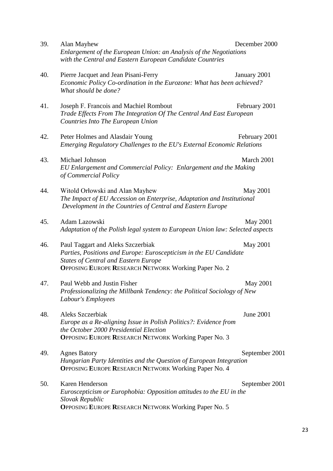| 39. | Alan Mayhew<br>Enlargement of the European Union: an Analysis of the Negotiations<br>with the Central and Eastern European Candidate Countries                                                                       | December 2000  |
|-----|----------------------------------------------------------------------------------------------------------------------------------------------------------------------------------------------------------------------|----------------|
| 40. | Pierre Jacquet and Jean Pisani-Ferry<br>Economic Policy Co-ordination in the Eurozone: What has been achieved?<br>What should be done?                                                                               | January 2001   |
| 41. | Joseph F. Francois and Machiel Rombout<br>Trade Effects From The Integration Of The Central And East European<br>Countries Into The European Union                                                                   | February 2001  |
| 42. | Peter Holmes and Alasdair Young<br>Emerging Regulatory Challenges to the EU's External Economic Relations                                                                                                            | February 2001  |
| 43. | Michael Johnson<br>EU Enlargement and Commercial Policy: Enlargement and the Making<br>of Commercial Policy                                                                                                          | March 2001     |
| 44. | Witold Orłowski and Alan Mayhew<br>The Impact of EU Accession on Enterprise, Adaptation and Institutional<br>Development in the Countries of Central and Eastern Europe                                              | May 2001       |
| 45. | Adam Lazowski<br>Adaptation of the Polish legal system to European Union law: Selected aspects                                                                                                                       | May 2001       |
| 46. | Paul Taggart and Aleks Szczerbiak<br>Parties, Positions and Europe: Euroscepticism in the EU Candidate<br><b>States of Central and Eastern Europe</b><br><b>OPPOSING EUROPE RESEARCH NETWORK Working Paper No. 2</b> | May 2001       |
| 47. | Paul Webb and Justin Fisher<br>Professionalizing the Millbank Tendency: the Political Sociology of New<br>Labour's Employees                                                                                         | May 2001       |
| 48. | Aleks Szczerbiak<br>Europe as a Re-aligning Issue in Polish Politics?: Evidence from<br>the October 2000 Presidential Election<br>OPPOSING EUROPE RESEARCH NETWORK Working Paper No. 3                               | June 2001      |
| 49. | <b>Agnes Batory</b><br>Hungarian Party Identities and the Question of European Integration<br><b>OPPOSING EUROPE RESEARCH NETWORK Working Paper No. 4</b>                                                            | September 2001 |
| 50. | Karen Henderson<br>Euroscepticism or Europhobia: Opposition attitudes to the EU in the<br>Slovak Republic<br><b>OPPOSING EUROPE RESEARCH NETWORK Working Paper No. 5</b>                                             | September 2001 |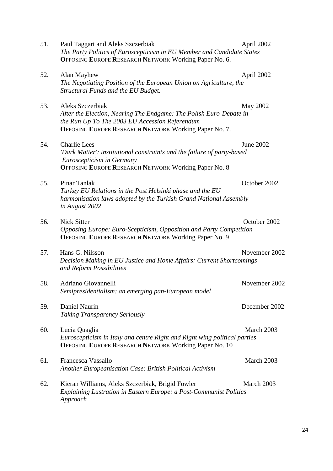51. Paul Taggart and Aleks Szczerbiak April 2002 *The Party Politics of Euroscepticism in EU Member and Candidate States* **O**PPOSING **E**UROPE **R**ESEARCH **N**ETWORK Working Paper No. 6. 52. Alan Mayhew April 2002 *The Negotiating Position of the European Union on Agriculture, the Structural Funds and the EU Budget.* 53. Aleks Szczerbiak May 2002 *After the Election, Nearing The Endgame: The Polish Euro-Debate in the Run Up To The 2003 EU Accession Referendum* **O**PPOSING **E**UROPE **R**ESEARCH **N**ETWORK Working Paper No. 7. 54. Charlie Lees June 2002 *'Dark Matter': institutional constraints and the failure of party-based Euroscepticism in Germany* **O**PPOSING **E**UROPE **R**ESEARCH **N**ETWORK Working Paper No. 8 55. Pinar Tanlak October 2002 *Turkey EU Relations in the Post Helsinki phase and the EU harmonisation laws adopted by the Turkish Grand National Assembly in August 2002* 56. Nick Sitter October 2002 *Opposing Europe: Euro-Scepticism, Opposition and Party Competition* **O**PPOSING **E**UROPE **R**ESEARCH **N**ETWORK Working Paper No. 9 57. Hans G. Nilsson November 2002 *Decision Making in EU Justice and Home Affairs: Current Shortcomings and Reform Possibilities* 58. Adriano Giovannelli November 2002 *Semipresidentialism: an emerging pan-European model* 59. Daniel Naurin December 2002 *Taking Transparency Seriously* 60. Lucia QuagliaMarch 2003 *Euroscepticism in Italy and centre Right and Right wing political parties* **O**PPOSING **E**UROPE **R**ESEARCH **N**ETWORK Working Paper No. 10 61. Francesca VassalloMarch 2003 *Another Europeanisation Case: British Political Activism* 62. Kieran Williams, Aleks Szczerbiak, Brigid Fowler March 2003 *Explaining Lustration in Eastern Europe: a Post-Communist Politics Approach*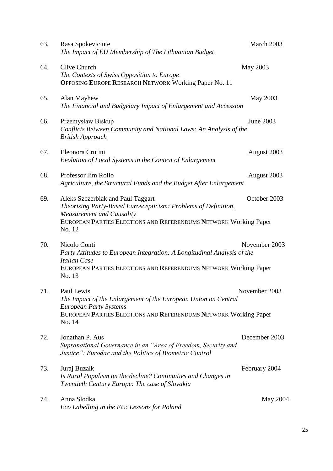| 63. | Rasa Spokeviciute<br>The Impact of EU Membership of The Lithuanian Budget                                                                                                                                             | March 2003      |
|-----|-----------------------------------------------------------------------------------------------------------------------------------------------------------------------------------------------------------------------|-----------------|
| 64. | Clive Church<br>The Contexts of Swiss Opposition to Europe<br><b>OPPOSING EUROPE RESEARCH NETWORK Working Paper No. 11</b>                                                                                            | May 2003        |
| 65. | Alan Mayhew<br>The Financial and Budgetary Impact of Enlargement and Accession                                                                                                                                        | May 2003        |
| 66. | Przemysław Biskup<br>Conflicts Between Community and National Laws: An Analysis of the<br><b>British Approach</b>                                                                                                     | June 2003       |
| 67. | Eleonora Crutini<br>Evolution of Local Systems in the Context of Enlargement                                                                                                                                          | August 2003     |
| 68. | Professor Jim Rollo<br>Agriculture, the Structural Funds and the Budget After Enlargement                                                                                                                             | August 2003     |
| 69. | Aleks Szczerbiak and Paul Taggart<br>Theorising Party-Based Euroscepticism: Problems of Definition,<br><b>Measurement and Causality</b><br>EUROPEAN PARTIES ELECTIONS AND REFERENDUMS NETWORK Working Paper<br>No. 12 | October 2003    |
| 70. | Nicolo Conti<br>Party Attitudes to European Integration: A Longitudinal Analysis of the<br><b>Italian Case</b><br>EUROPEAN PARTIES ELECTIONS AND REFERENDUMS NETWORK Working Paper<br>No. 13                          | November 2003   |
| 71. | Paul Lewis<br>The Impact of the Enlargement of the European Union on Central<br><b>European Party Systems</b><br>EUROPEAN PARTIES ELECTIONS AND REFERENDUMS NETWORK Working Paper<br>No. 14                           | November 2003   |
| 72. | Jonathan P. Aus<br>Supranational Governance in an "Area of Freedom, Security and<br>Justice": Eurodac and the Politics of Biometric Control                                                                           | December 2003   |
| 73. | Juraj Buzalk<br>Is Rural Populism on the decline? Continuities and Changes in<br>Twentieth Century Europe: The case of Slovakia                                                                                       | February 2004   |
| 74. | Anna Slodka<br>Eco Labelling in the EU: Lessons for Poland                                                                                                                                                            | <b>May 2004</b> |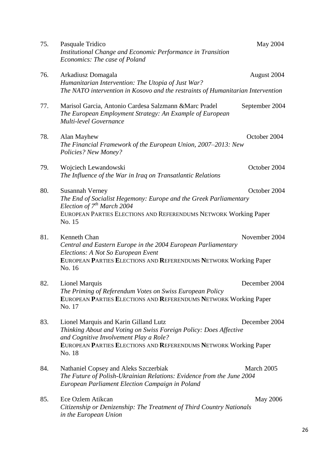| 75. | Pasquale Tridico<br>Institutional Change and Economic Performance in Transition<br>Economics: The case of Poland                                                                                                                   | May 2004       |
|-----|------------------------------------------------------------------------------------------------------------------------------------------------------------------------------------------------------------------------------------|----------------|
| 76. | Arkadiusz Domagala<br>Humanitarian Intervention: The Utopia of Just War?<br>The NATO intervention in Kosovo and the restraints of Humanitarian Intervention                                                                        | August 2004    |
| 77. | Marisol Garcia, Antonio Cardesa Salzmann & Marc Pradel<br>The European Employment Strategy: An Example of European<br>Multi-level Governance                                                                                       | September 2004 |
| 78. | Alan Mayhew<br>The Financial Framework of the European Union, 2007–2013: New<br>Policies? New Money?                                                                                                                               | October 2004   |
| 79. | Wojciech Lewandowski<br>The Influence of the War in Iraq on Transatlantic Relations                                                                                                                                                | October 2004   |
| 80. | Susannah Verney<br>The End of Socialist Hegemony: Europe and the Greek Parliamentary<br>Election of $7^{th}$ March 2004<br>EUROPEAN PARTIES ELECTIONS AND REFERENDUMS NETWORK Working Paper<br>No. 15                              | October 2004   |
| 81. | Kenneth Chan<br>Central and Eastern Europe in the 2004 European Parliamentary<br>Elections: A Not So European Event<br>EUROPEAN PARTIES ELECTIONS AND REFERENDUMS NETWORK Working Paper<br>No. 16                                  | November 2004  |
| 82. | <b>Lionel Marquis</b><br>The Priming of Referendum Votes on Swiss European Policy<br>EUROPEAN PARTIES ELECTIONS AND REFERENDUMS NETWORK Working Paper<br>No. 17                                                                    | December 2004  |
| 83. | Lionel Marquis and Karin Gilland Lutz<br>Thinking About and Voting on Swiss Foreign Policy: Does Affective<br>and Cognitive Involvement Play a Role?<br>EUROPEAN PARTIES ELECTIONS AND REFERENDUMS NETWORK Working Paper<br>No. 18 | December 2004  |
| 84. | Nathaniel Copsey and Aleks Szczerbiak<br>The Future of Polish-Ukrainian Relations: Evidence from the June 2004<br>European Parliament Election Campaign in Poland                                                                  | March 2005     |
| 85. | Ece Ozlem Atikcan<br>Citizenship or Denizenship: The Treatment of Third Country Nationals<br>in the European Union                                                                                                                 | May 2006       |

26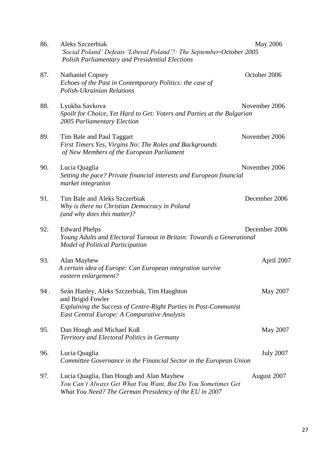| 86. | Aleks Szczerbiak<br>'Social Poland' Defeats 'Liberal Poland'?: The September-October 2005                                                                                           | <b>May 2006</b>  |
|-----|-------------------------------------------------------------------------------------------------------------------------------------------------------------------------------------|------------------|
| 87. | <b>Polish Parliamentary and Presidential Elections</b><br><b>Nathaniel Copsey</b><br>Echoes of the Past in Contemporary Politics: the case of<br>Polish-Ukrainian Relations         | October 2006     |
| 88. | Lyukba Savkova<br>Spoilt for Choice, Yet Hard to Get: Voters and Parties at the Bulgarian<br>2005 Parliamentary Election                                                            | November 2006    |
| 89. | Tim Bale and Paul Taggart<br>First Timers Yes, Virgins No: The Roles and Backgrounds<br>of New Members of the European Parliament                                                   | November 2006    |
| 90. | Lucia Quaglia<br>Setting the pace? Private financial interests and European financial<br>market integration                                                                         | November 2006    |
| 91. | Tim Bale and Aleks Szczerbiak<br>Why is there no Christian Democracy in Poland<br>(and why does this matter)?                                                                       | December 2006    |
| 92. | <b>Edward Phelps</b><br>Young Adults and Electoral Turnout in Britain: Towards a Generational<br><b>Model of Political Participation</b>                                            | December 2006    |
| 93. | Alan Mayhew<br>A certain idea of Europe: Can European integration survive<br>eastern enlargement?                                                                                   | April 2007       |
| 94. | Seán Hanley, Aleks Szczerbiak, Tim Haughton<br>and Brigid Fowler<br>Explaining the Success of Centre-Right Parties in Post-Communist<br>East Central Europe: A Comparative Analysis | May 2007         |
| 95. | Dan Hough and Michael Koß<br>Territory and Electoral Politics in Germany                                                                                                            | May 2007         |
| 96. | Lucia Quaglia<br>Committee Governance in the Financial Sector in the European Union                                                                                                 | <b>July 2007</b> |
| 97. | Lucia Quaglia, Dan Hough and Alan Mayhew<br>You Can't Always Get What You Want, But Do You Sometimes Get<br>What You Need? The German Presidency of the EU in 2007                  | August 2007      |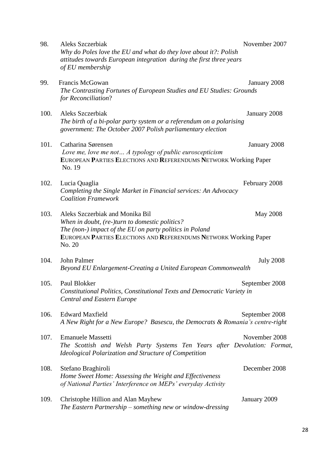| 98.  | Aleks Szczerbiak<br>Why do Poles love the EU and what do they love about it?: Polish<br>attitudes towards European integration during the first three years<br>of EU membership                                            | November 2007    |
|------|----------------------------------------------------------------------------------------------------------------------------------------------------------------------------------------------------------------------------|------------------|
| 99.  | Francis McGowan<br>The Contrasting Fortunes of European Studies and EU Studies: Grounds<br>for Reconciliation?                                                                                                             | January 2008     |
| 100. | Aleks Szczerbiak<br>The birth of a bi-polar party system or a referendum on a polarising<br>government: The October 2007 Polish parliamentary election                                                                     | January 2008     |
| 101. | Catharina Sørensen<br>Love me, love me not A typology of public euroscepticism<br>EUROPEAN PARTIES ELECTIONS AND REFERENDUMS NETWORK Working Paper<br>No. 19                                                               | January 2008     |
| 102. | Lucia Quaglia<br>Completing the Single Market in Financial services: An Advocacy<br><b>Coalition Framework</b>                                                                                                             | February 2008    |
| 103. | Aleks Szczerbiak and Monika Bil<br>When in doubt, (re-)turn to domestic politics?<br>The (non-) impact of the EU on party politics in Poland<br>EUROPEAN PARTIES ELECTIONS AND REFERENDUMS NETWORK Working Paper<br>No. 20 | <b>May 2008</b>  |
| 104. | John Palmer<br>Beyond EU Enlargement-Creating a United European Commonwealth                                                                                                                                               | <b>July 2008</b> |
| 105. | Paul Blokker<br>Constitutional Politics, Constitutional Texts and Democratic Variety in<br><b>Central and Eastern Europe</b>                                                                                               | September 2008   |
| 106. | <b>Edward Maxfield</b><br>A New Right for a New Europe? Basescu, the Democrats & Romania's centre-right                                                                                                                    | September 2008   |
| 107. | <b>Emanuele Massetti</b><br>The Scottish and Welsh Party Systems Ten Years after Devolution: Format,<br>Ideological Polarization and Structure of Competition                                                              | November 2008    |
| 108. | Stefano Braghiroli<br>Home Sweet Home: Assessing the Weight and Effectiveness<br>of National Parties' Interference on MEPs' everyday Activity                                                                              | December 2008    |
| 109. | Christophe Hillion and Alan Mayhew<br>The Eastern Partnership $-$ something new or window-dressing                                                                                                                         | January 2009     |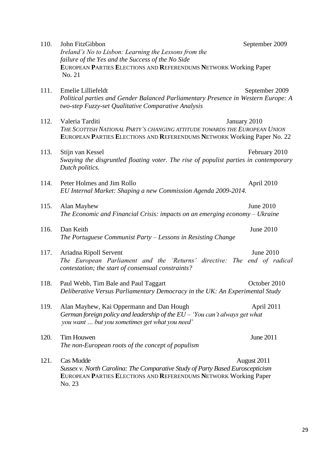| 110. | John FitzGibbon<br>Ireland's No to Lisbon: Learning the Lessons from the<br>failure of the Yes and the Success of the No Side                                             | September 2009 |
|------|---------------------------------------------------------------------------------------------------------------------------------------------------------------------------|----------------|
|      | EUROPEAN PARTIES ELECTIONS AND REFERENDUMS NETWORK Working Paper<br>No. 21                                                                                                |                |
| 111. | Emelie Lilliefeldt<br>Political parties and Gender Balanced Parliamentary Presence in Western Europe: A<br>two-step Fuzzy-set Qualitative Comparative Analysis            | September 2009 |
| 112. | Valeria Tarditi<br>THE SCOTTISH NATIONAL PARTY'S CHANGING ATTITUDE TOWARDS THE EUROPEAN UNION<br>EUROPEAN PARTIES ELECTIONS AND REFERENDUMS NETWORK Working Paper No. 22  | January 2010   |
| 113. | Stijn van Kessel<br>Swaying the disgruntled floating voter. The rise of populist parties in contemporary<br>Dutch politics.                                               | February 2010  |
| 114. | Peter Holmes and Jim Rollo<br>EU Internal Market: Shaping a new Commission Agenda 2009-2014.                                                                              | April 2010     |
| 115. | Alan Mayhew<br>The Economic and Financial Crisis: impacts on an emerging economy $-Vk$ raine                                                                              | June 2010      |
| 116. | Dan Keith<br>The Portuguese Communist Party $-$ Lessons in Resisting Change                                                                                               | June 2010      |
| 117. | Ariadna Ripoll Servent<br>The European Parliament and the 'Returns' directive: The end of radical<br>contestation; the start of consensual constraints?                   | June 2010      |
| 118. | Paul Webb, Tim Bale and Paul Taggart<br>Deliberative Versus Parliamentary Democracy in the UK: An Experimental Study                                                      | October 2010   |
| 119. | Alan Mayhew, Kai Oppermann and Dan Hough<br>German foreign policy and leadership of the EU - 'You can't always get what<br>you want  but you sometimes get what you need' | April 2011     |
| 120. | Tim Houwen<br>The non-European roots of the concept of populism                                                                                                           | June 2011      |
| 121. | Cas Mudde<br>Sussex v. North Carolina: The Comparative Study of Party Based Euroscepticism<br>EUROPEAN PARTIES ELECTIONS AND REFERENDUMS NETWORK Working Paper<br>No. 23  | August 2011    |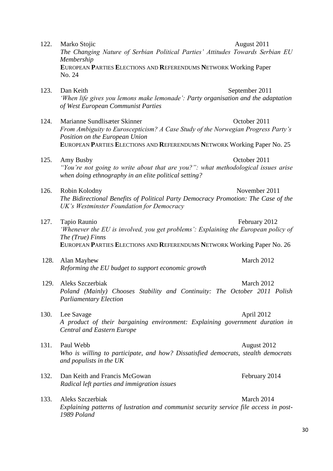|      | Membership<br>EUROPEAN PARTIES ELECTIONS AND REFERENDUMS NETWORK Working Paper<br>No. 24                                                                                                                                      |                |
|------|-------------------------------------------------------------------------------------------------------------------------------------------------------------------------------------------------------------------------------|----------------|
| 123. | Dan Keith<br>'When life gives you lemons make lemonade': Party organisation and the adaptation<br>of West European Communist Parties                                                                                          | September 2011 |
| 124. | Marianne Sundlisæter Skinner<br>From Ambiguity to Euroscepticism? A Case Study of the Norwegian Progress Party's<br>Position on the European Union<br>EUROPEAN PARTIES ELECTIONS AND REFERENDUMS NETWORK Working Paper No. 25 | October 2011   |
| 125. | Amy Busby<br>"You're not going to write about that are you?": what methodological issues arise<br>when doing ethnography in an elite political setting?                                                                       | October 2011   |
| 126. | Robin Kolodny<br>The Bidirectional Benefits of Political Party Democracy Promotion: The Case of the<br>UK's Westminster Foundation for Democracy                                                                              | November 2011  |
| 127. | Tapio Raunio<br>'Whenever the EU is involved, you get problems': Explaining the European policy of<br>The (True) Finns<br>EUROPEAN PARTIES ELECTIONS AND REFERENDUMS NETWORK Working Paper No. 26                             | February 2012  |
| 128. | Alan Mayhew<br>Reforming the EU budget to support economic growth                                                                                                                                                             | March 2012     |
| 129. | Aleks Szczerbiak<br>Poland (Mainly) Chooses Stability and Continuity: The October 2011 Polish<br><b>Parliamentary Election</b>                                                                                                | March 2012     |
| 130. | Lee Savage<br>A product of their bargaining environment: Explaining government duration in<br><b>Central and Eastern Europe</b>                                                                                               | April 2012     |
| 131. | Paul Webb<br>Who is willing to participate, and how? Dissatisfied democrats, stealth democrats<br>and populists in the UK                                                                                                     | August 2012    |
| 132. | Dan Keith and Francis McGowan<br>Radical left parties and immigration issues                                                                                                                                                  | February 2014  |
| 133. | Aleks Szczerbiak<br>Explaining patterns of lustration and communist security service file access in post-<br>1989 Poland                                                                                                      | March 2014     |

122. Marko Stojic **August 2011** 

*The Changing Nature of Serbian Political Parties' Attitudes Towards Serbian EU*